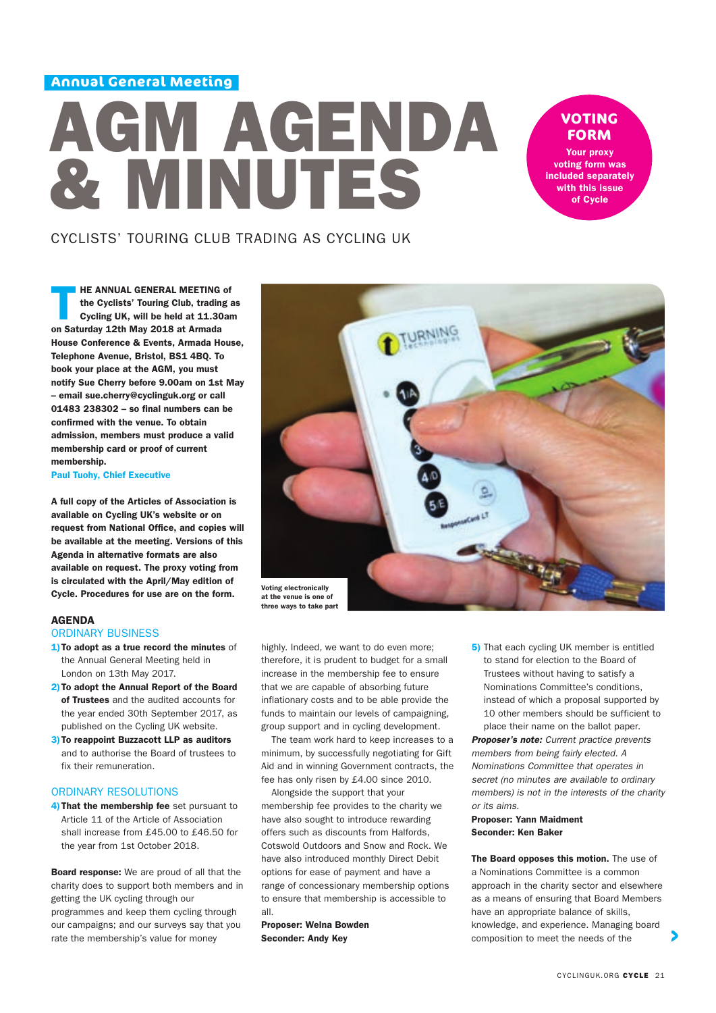**Annual General Meeting**

# AGM AGENDA & MINUTES

# **VOTING FORM**

Your proxy voting form was included separately with this issue of Cycle

# CYCLISTS' TOURING CLUB TRADING AS CYCLING UK

HE ANNUAL GENERAL MEETING of<br>the Cyclists' Touring Club, trading as<br>Cycling UK, will be held at 11.30am the Cyclists' Touring Club, trading as on Saturday 12th May 2018 at Armada House Conference & Events, Armada House, Telephone Avenue, Bristol, BS1 4BQ. To book your place at the AGM, you must notify Sue Cherry before 9.00am on 1st May – email sue.cherry@cyclinguk.org or call 01483 238302 – so final numbers can be confirmed with the venue. To obtain admission, members must produce a valid membership card or proof of current membership.

Paul Tuohy, Chief Executive

A full copy of the Articles of Association is available on Cycling UK's website or on request from National Office, and copies will be available at the meeting. Versions of this Agenda in alternative formats are also available on request. The proxy voting from is circulated with the April/May edition of Cycle. Procedures for use are on the form.

#### AGENDA

### ORDINARY BUSINESS

- 1) To adopt as a true record the minutes of the Annual General Meeting held in London on 13th May 2017.
- 2) To adopt the Annual Report of the Board of Trustees and the audited accounts for the year ended 30th September 2017, as published on the Cycling UK website.
- 3) To reappoint Buzzacott LLP as auditors and to authorise the Board of trustees to fix their remuneration.

#### ORDINARY RESOLUTIONS

4) That the membership fee set pursuant to Article 11 of the Article of Association shall increase from £45.00 to £46.50 for the year from 1st October 2018.

Board response: We are proud of all that the charity does to support both members and in getting the UK cycling through our programmes and keep them cycling through our campaigns; and our surveys say that you rate the membership's value for money



highly. Indeed, we want to do even more; therefore, it is prudent to budget for a small increase in the membership fee to ensure that we are capable of absorbing future inflationary costs and to be able provide the funds to maintain our levels of campaigning, group support and in cycling development.

 The team work hard to keep increases to a minimum, by successfully negotiating for Gift Aid and in winning Government contracts, the fee has only risen by £4.00 since 2010.

 Alongside the support that your membership fee provides to the charity we have also sought to introduce rewarding offers such as discounts from Halfords, Cotswold Outdoors and Snow and Rock. We have also introduced monthly Direct Debit options for ease of payment and have a range of concessionary membership options to ensure that membership is accessible to all.

Proposer: Welna Bowden Seconder: Andy Key

5) That each cycling UK member is entitled to stand for election to the Board of Trustees without having to satisfy a Nominations Committee's conditions, instead of which a proposal supported by 10 other members should be sufficient to place their name on the ballot paper.

*Proposer's note: Current practice prevents members from being fairly elected. A Nominations Committee that operates in secret (no minutes are available to ordinary members) is not in the interests of the charity or its aims.*

#### Proposer: Yann Maidment Seconder: Ken Baker

The Board opposes this motion. The use of a Nominations Committee is a common approach in the charity sector and elsewhere as a means of ensuring that Board Members have an appropriate balance of skills, knowledge, and experience. Managing board composition to meet the needs of the

 $\blacktriangleright$